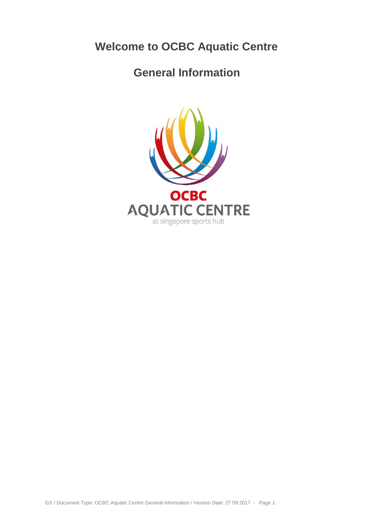# **Welcome to OCBC Aquatic Centre**

# **General Information**

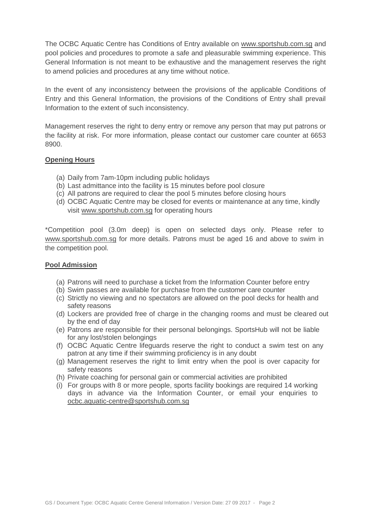The OCBC Aquatic Centre has Conditions of Entry available on [www.sportshub.com.sg](http://www.sportshub.com.sg/) and pool policies and procedures to promote a safe and pleasurable swimming experience. This General Information is not meant to be exhaustive and the management reserves the right to amend policies and procedures at any time without notice.

In the event of any inconsistency between the provisions of the applicable Conditions of Entry and this General Information, the provisions of the Conditions of Entry shall prevail Information to the extent of such inconsistency.

Management reserves the right to deny entry or remove any person that may put patrons or the facility at risk. For more information, please contact our customer care counter at 6653 8900.

## **Opening Hours**

- (a) Daily from 7am-10pm including public holidays
- (b) Last admittance into the facility is 15 minutes before pool closure
- (c) All patrons are required to clear the pool 5 minutes before closing hours
- (d) OCBC Aquatic Centre may be closed for events or maintenance at any time, kindly visit [www.sportshub.com.sg](http://www.sportshub.com.sg/) for operating hours

\*Competition pool (3.0m deep) is open on selected days only. Please refer to [www.sportshub.com.sg](http://www.sportshub.com.sg/) for more details. Patrons must be aged 16 and above to swim in the competition pool.

### **Pool Admission**

- (a) Patrons will need to purchase a ticket from the Information Counter before entry
- (b) Swim passes are available for purchase from the customer care counter
- (c) Strictly no viewing and no spectators are allowed on the pool decks for health and safety reasons
- (d) Lockers are provided free of charge in the changing rooms and must be cleared out by the end of day
- (e) Patrons are responsible for their personal belongings. SportsHub will not be liable for any lost/stolen belongings
- (f) OCBC Aquatic Centre lifeguards reserve the right to conduct a swim test on any patron at any time if their swimming proficiency is in any doubt
- (g) Management reserves the right to limit entry when the pool is over capacity for safety reasons
- (h) Private coaching for personal gain or commercial activities are prohibited
- (i) For groups with 8 or more people, sports facility bookings are required 14 working days in advance via the Information Counter, or email your enquiries to [ocbc.aquatic-centre@sportshub.com.sg](mailto:ocbc.aquatic-centre@sportshub.com.sg)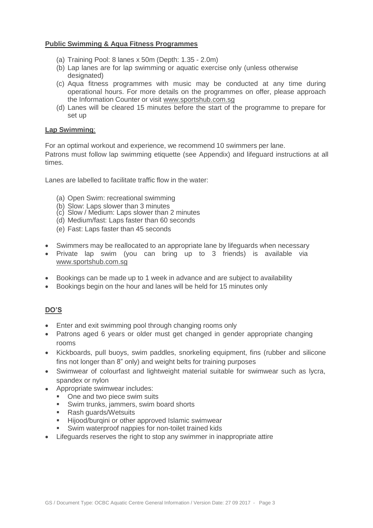## **Public Swimming & Aqua Fitness Programmes**

- (a) Training Pool: 8 lanes x 50m (Depth: 1.35 2.0m)
- (b) Lap lanes are for lap swimming or aquatic exercise only (unless otherwise designated)
- (c) Aqua fitness programmes with music may be conducted at any time during operational hours. For more details on the programmes on offer, please approach the Information Counter or visit [www.sportshub.com.sg](http://www.sportshub.com.sg/)
- (d) Lanes will be cleared 15 minutes before the start of the programme to prepare for set up

## **Lap Swimming**:

For an optimal workout and experience, we recommend 10 swimmers per lane.

Patrons must follow lap swimming etiquette (see Appendix) and lifeguard instructions at all times.

Lanes are labelled to facilitate traffic flow in the water:

- (a) Open Swim: recreational swimming
- (b) Slow: Laps slower than 3 minutes
- (c) Slow / Medium: Laps slower than 2 minutes
- (d) Medium/fast: Laps faster than 60 seconds
- (e) Fast: Laps faster than 45 seconds
- Swimmers may be reallocated to an appropriate lane by lifeguards when necessary
- Private lap swim (you can bring up to 3 friends) is available via [www.sportshub.com.sg](http://www.sportshub.com.sg/)
- Bookings can be made up to 1 week in advance and are subject to availability
- Bookings begin on the hour and lanes will be held for 15 minutes only

# **DO'S**

- Enter and exit swimming pool through changing rooms only
- Patrons aged 6 years or older must get changed in gender appropriate changing rooms
- Kickboards, pull buoys, swim paddles, snorkeling equipment, fins (rubber and silicone fins not longer than 8" only) and weight belts for training purposes
- Swimwear of colourfast and lightweight material suitable for swimwear such as lycra, spandex or nylon
- Appropriate swimwear includes:
	- One and two piece swim suits
	- **Swim trunks, jammers, swim board shorts**
	- Rash guards/Wetsuits
	- Hijood/burgini or other approved Islamic swimwear
	- Swim waterproof nappies for non-toilet trained kids
- Lifeguards reserves the right to stop any swimmer in inappropriate attire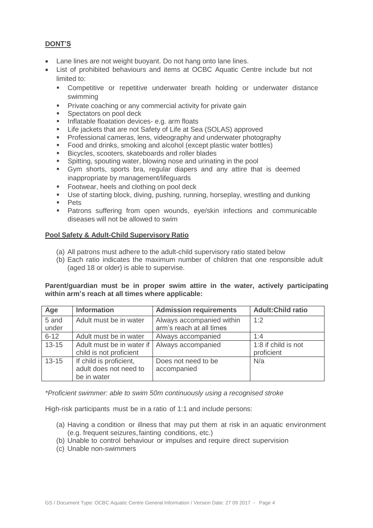# **DONT'S**

- Lane lines are not weight buoyant. Do not hang onto lane lines.
- List of prohibited behaviours and items at OCBC Aquatic Centre include but not limited to:
	- **EXECOMPETERIVE OF THE COMPT COMPTS IN EXECUTE IS COMPETER** FOR THE COMPONER THE COMPONER COMPONER COMPONER AND swimming
	- **Private coaching or any commercial activity for private gain**
	- Spectators on pool deck
	- Inflatable floatation devices- e.g. arm floats
	- Life jackets that are not Safety of Life at Sea (SOLAS) approved<br>Professional cameras Jens, videography and underwater photography
	- Professional cameras, lens, videography and underwater photography
	- Food and drinks, smoking and alcohol (except plastic water bottles)
	- **Bicycles, scooters, skateboards and roller blades**
	- Spitting, spouting water, blowing nose and urinating in the pool
	- Gym shorts, sports bra, regular diapers and any attire that is deemed inappropriate by management/lifeguards
	- **Footwear, heels and clothing on pool deck**
	- Use of starting block, diving, pushing, running, horseplay, wrestling and dunking
	- **Pets**
	- **Patrons suffering from open wounds, eye/skin infections and communicable** diseases will not be allowed to swim

### **Pool Safety & Adult-Child Supervisory Ratio**

- (a) All patrons must adhere to the adult-child supervisory ratio stated below
- (b) Each ratio indicates the maximum number of children that one responsible adult (aged 18 or older) is able to supervise.

## **Parent/guardian must be in proper swim attire in the water, actively participating within arm's reach at all times where applicable:**

| Age            | <b>Information</b>                                               | <b>Admission requirements</b>                         | <b>Adult:Child ratio</b>          |
|----------------|------------------------------------------------------------------|-------------------------------------------------------|-----------------------------------|
| 5 and<br>under | Adult must be in water                                           | Always accompanied within<br>arm's reach at all times | 1:2                               |
| $6 - 12$       | Adult must be in water                                           | Always accompanied                                    | 1:4                               |
| $13 - 15$      | Adult must be in water if<br>child is not proficient             | Always accompanied                                    | 1:8 if child is not<br>proficient |
| $13 - 15$      | If child is proficient,<br>adult does not need to<br>be in water | Does not need to be<br>accompanied                    | N/a                               |

*\*Proficient swimmer: able to swim 50m continuously using a recognised stroke*

High-risk participants must be in a ratio of 1:1 and include persons:

- (a) Having a condition or illness that may put them at risk in an aquatic environment (e.g. frequent seizures, fainting conditions, etc.)
- (b) Unable to control behaviour or impulses and require direct supervision
- (c) Unable non-swimmers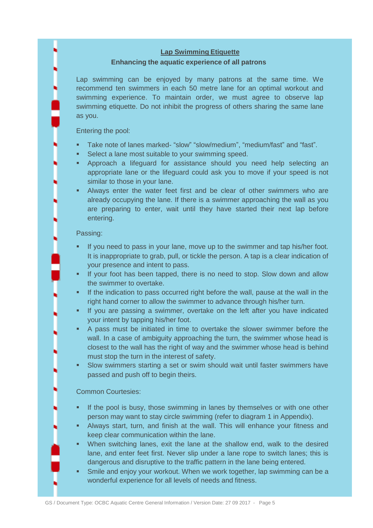## **Lap Swimming Etiquette**

## **Enhancing the aquatic experience of all patrons**

Lap swimming can be enjoyed by many patrons at the same time. We recommend ten swimmers in each 50 metre lane for an optimal workout and swimming experience. To maintain order, we must agree to observe lap swimming etiquette. Do not inhibit the progress of others sharing the same lane as you.

Entering the pool:

- Take note of lanes marked- "slow" "slow/medium", "medium/fast" and "fast".
- **Select a lane most suitable to your swimming speed.**
- Approach a lifeguard for assistance should you need help selecting an appropriate lane or the lifeguard could ask you to move if your speed is not similar to those in your lane.
- Always enter the water feet first and be clear of other swimmers who are already occupying the lane. If there is a swimmer approaching the wall as you are preparing to enter, wait until they have started their next lap before entering.

### Passing:

- If you need to pass in your lane, move up to the swimmer and tap his/her foot. It is inappropriate to grab, pull, or tickle the person. A tap is a clear indication of your presence and intent to pass.
- If your foot has been tapped, there is no need to stop. Slow down and allow the swimmer to overtake.
- If the indication to pass occurred right before the wall, pause at the wall in the right hand corner to allow the swimmer to advance through his/her turn.
- **If you are passing a swimmer, overtake on the left after you have indicated** your intent by tapping his/her foot.
- A pass must be initiated in time to overtake the slower swimmer before the wall. In a case of ambiguity approaching the turn, the swimmer whose head is closest to the wall has the right of way and the swimmer whose head is behind must stop the turn in the interest of safety.
- Slow swimmers starting a set or swim should wait until faster swimmers have passed and push off to begin theirs.

### Common Courtesies:

- If the pool is busy, those swimming in lanes by themselves or with one other person may want to stay circle swimming (refer to diagram 1 in Appendix).
- Always start, turn, and finish at the wall. This will enhance your fitness and keep clear communication within the lane.
- When switching lanes, exit the lane at the shallow end, walk to the desired lane, and enter feet first. Never slip under a lane rope to switch lanes; this is dangerous and disruptive to the traffic pattern in the lane being entered.
- Smile and enjoy your workout. When we work together, lap swimming can be a wonderful experience for all levels of needs and fitness.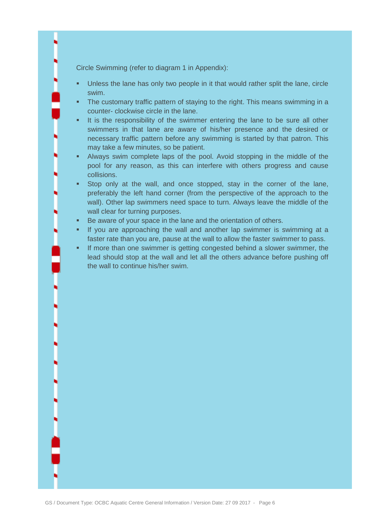Circle Swimming (refer to diagram 1 in Appendix):

- Unless the lane has only two people in it that would rather split the lane, circle swim.
- The customary traffic pattern of staying to the right. This means swimming in a counter- clockwise circle in the lane.
- It is the responsibility of the swimmer entering the lane to be sure all other swimmers in that lane are aware of his/her presence and the desired or necessary traffic pattern before any swimming is started by that patron. This may take a few minutes, so be patient.
- Always swim complete laps of the pool. Avoid stopping in the middle of the pool for any reason, as this can interfere with others progress and cause collisions.
- Stop only at the wall, and once stopped, stay in the corner of the lane, preferably the left hand corner (from the perspective of the approach to the wall). Other lap swimmers need space to turn. Always leave the middle of the wall clear for turning purposes.
- Be aware of your space in the lane and the orientation of others.
- If you are approaching the wall and another lap swimmer is swimming at a faster rate than you are, pause at the wall to allow the faster swimmer to pass.
- If more than one swimmer is getting congested behind a slower swimmer, the lead should stop at the wall and let all the others advance before pushing off the wall to continue his/her swim.